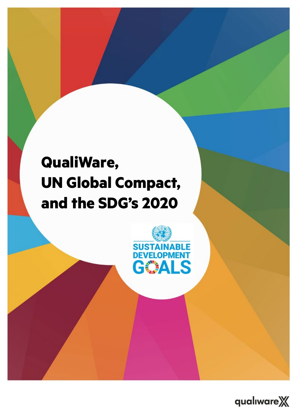## **QualiWare, UN Global Compact, and the SDG's 2020**



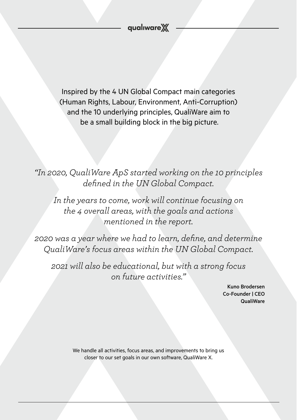Inspired by the 4 UN Global Compact main categories (Human Rights, Labour, Environment, Anti-Corruption) and the 10 underlying principles, QualiWare aim to be a small building block in the big picture.

*"In 2020, QualiWare ApS started working on the 10 principles defined in the UN Global Compact.*

*In the years to come, work will continue focusing on the 4 overall areas, with the goals and actions mentioned in the report.*

*2020 was a year where we had to learn, define, and determine QualiWare's focus areas within the UN Global Compact.* 

*2021 will also be educational, but with a strong focus on future activities."*

> Kuno Brodersen Co-Founder | CEO QualiWare

We handle all activities, focus areas, and improvements to bring us closer to our set goals in our own software, QualiWare X.